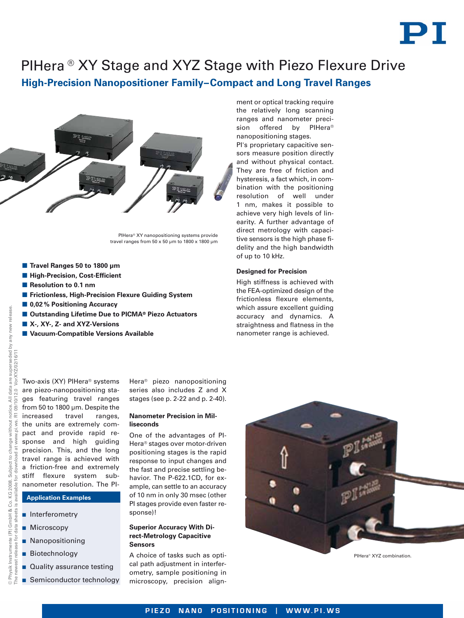

# PIHera ® XY Stage and XYZ Stage with Piezo Flexure Drive

**High-Precision Nanopositioner Family–Compact and Long Travel Ranges**



PIHera® XY nanopositioning systems provide travel ranges from  $50 \times 50$  um to  $1800 \times 1800$  um

- **Travel Ranges 50 to 1800 μm**
- $\blacksquare$  **High-Precision, Cost-Efficient**
- **Resolution to 0.1 nm**
- **E** Frictionless, High-Precision Flexure Guiding System
- 0,02 % Positioning Accuracy
- Outstanding Lifetime Due to PICMA<sup>®</sup> Piezo Actuators
- X-, XY-, Z- and XYZ-Versions
- **Vacuum-Compatible Versions Available**

ment or optical tracking require the relatively long scanning ranges and nanometer precision offered by PIHera® nanopositioning stages.

PI's proprietary capacitive sensors measure position directly and without physical contact. They are free of friction and hysteresis, a fact which, in combination with the positioning resolution of well under 1 nm, makes it possible to achieve very high levels of linearity. A further advantage of direct metrology with capacitive sensors is the high phase fidelity and the high bandwidth of up to 10 kHz.

## **Designed for Precision**

High stiffness is achieved with the FEA-optimized design of the frictionless flexure elements, which assure excellent guiding accuracy and dynamics. A straightness and flatness in the nanometer range is achieved.

Two-axis (XY) PIHera® systems are piezo-nanopositioning stages featuring travel ranges from 50 to 1800 µm. Despite the increased travel ranges, the units are extremely compact and provide rapid response and high guiding precision. This, and the long  $\frac{1}{8}$  precision. This, and the long<br> $\frac{1}{8}$  travel range is achieved with a friction-free and extremely stiff flexure system subnanometer resolution. The PI-

## **Application Examples**

- **n** Interferometry
- **Microscopy**
- **Nanopositioning**
- Biotechnology
- **Quality assurance testing**
- **B** Semiconductor technology

Hera® piezo nanopositioning series also includes Z and X stages (see p. 2-22 and p. 2-40).

### **Nanometer Precision in Milliseconds**

One of the advantages of PI-Hera® stages over motor-driven positioning stages is the rapid response to input changes and the fast and precise settling behavior. The P-622.1CD, for example, can settle to an accuracy of 10 nm in only 30 msec (other PI stages provide even faster response)!

### **Superior Accuracy With Direct-Metrology Capacitive Sensors**

A choice of tasks such as optical path adjustment in interferometry, sample positioning in microscopy, precision align-



PIHera® XYZ combination.